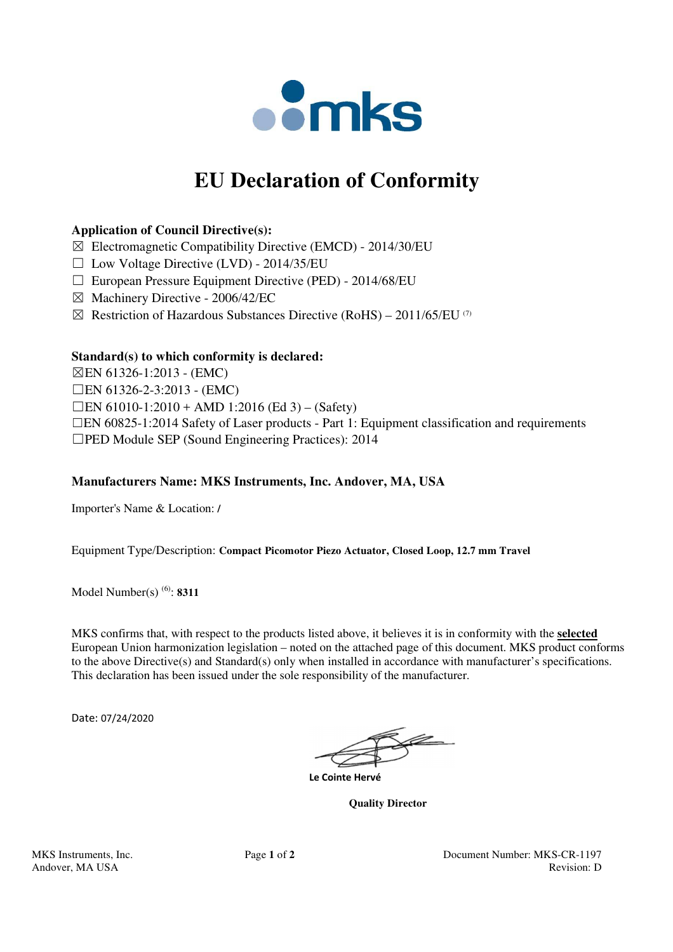

# **EU Declaration of Conformity**

# **Application of Council Directive(s):**

- $\boxtimes$  Electromagnetic Compatibility Directive (EMCD) 2014/30/EU
- $\Box$  Low Voltage Directive (LVD) 2014/35/EU
- ☐ European Pressure Equipment Directive (PED) 2014/68/EU
- ☒ Machinery Directive 2006/42/EC
- $\boxtimes$  Restriction of Hazardous Substances Directive (RoHS) 2011/65/EU (7)

## **Standard(s) to which conformity is declared:**

☒EN 61326-1:2013 - (EMC) ☐EN 61326-2-3:2013 - (EMC)  $\Box$ EN 61010-1:2010 + AMD 1:2016 (Ed 3) – (Safety) ☐EN 60825-1:2014 Safety of Laser products - Part 1: Equipment classification and requirements ☐PED Module SEP (Sound Engineering Practices): 2014

# **Manufacturers Name: MKS Instruments, Inc. Andover, MA, USA**

Importer's Name & Location: **/**

Equipment Type/Description: **Compact Picomotor Piezo Actuator, Closed Loop, 12.7 mm Travel**

Model Number(s) (6): **8311**

MKS confirms that, with respect to the products listed above, it believes it is in conformity with the **selected** European Union harmonization legislation – noted on the attached page of this document. MKS product conforms to the above Directive(s) and Standard(s) only when installed in accordance with manufacturer's specifications. This declaration has been issued under the sole responsibility of the manufacturer.

Date: 07/24/2020

 **Le Cointe Hervé** 

 **Quality Director**

MKS Instruments, Inc. Page **1** of **2** Document Number: MKS-CR-1197 Andover, MA USA Revision: D